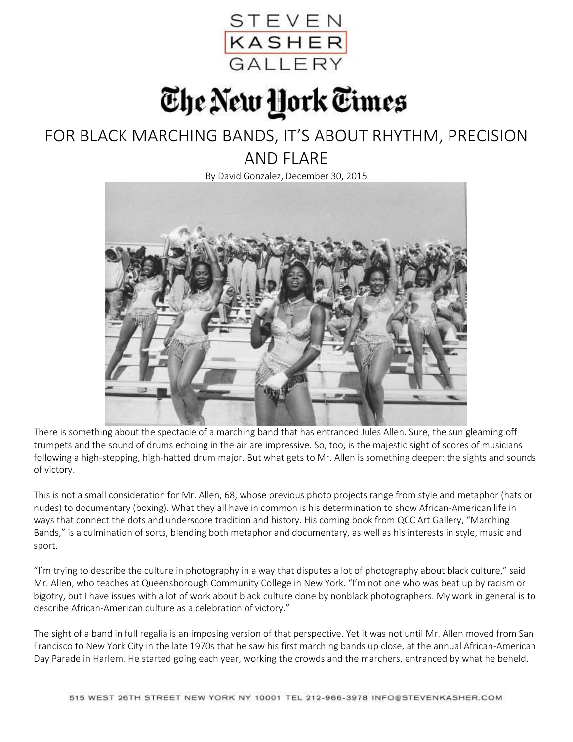

## The New York Times

## FOR BLACK MARCHING BANDS, IT'S ABOUT RHYTHM, PRECISION AND FLARE

By David Gonzalez, December 30, 2015



There is something about the spectacle of a marching band that has entranced Jules Allen. Sure, the sun gleaming off trumpets and the sound of drums echoing in the air are impressive. So, too, is the majestic sight of scores of musicians following a high-stepping, high-hatted drum major. But what gets to Mr. Allen is something deeper: the sights and sounds of victory.

This is not a small consideration for Mr. Allen, 68, whose previous photo projects range from style and metaphor (hats or nudes) to documentary (boxing). What they all have in common is his determination to show African-American life in ways that connect the dots and underscore tradition and history. His coming book from QCC Art Gallery, "Marching Bands," is a culmination of sorts, blending both metaphor and documentary, as well as his interests in style, music and sport.

"I'm trying to describe the culture in photography in a way that disputes a lot of photography about black culture," said Mr. Allen, who teaches at Queensborough Community College in New York. "I'm not one who was beat up by racism or bigotry, but I have issues with a lot of work about black culture done by nonblack photographers. My work in general is to describe African-American culture as a celebration of victory."

The sight of a band in full regalia is an imposing version of that perspective. Yet it was not until Mr. Allen moved from San Francisco to New York City in the late 1970s that he saw his first marching bands up close, at the annual African-American Day Parade in Harlem. He started going each year, working the crowds and the marchers, entranced by what he beheld.